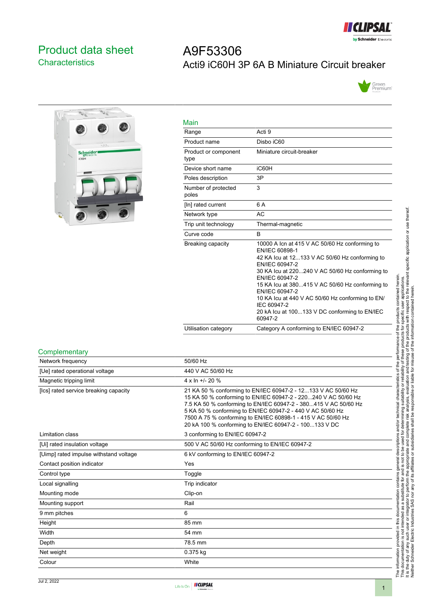

# <span id="page-0-0"></span>Product data sheet **Characteristics**

# A9F53306 Acti9 iC60H 3P 6A B Miniature Circuit breaker





| Main                         |                                                                                                                                                                                                                                                                                                                                                                                                               |
|------------------------------|---------------------------------------------------------------------------------------------------------------------------------------------------------------------------------------------------------------------------------------------------------------------------------------------------------------------------------------------------------------------------------------------------------------|
| Range                        | Acti 9                                                                                                                                                                                                                                                                                                                                                                                                        |
| Product name                 | Disbo iC60                                                                                                                                                                                                                                                                                                                                                                                                    |
| Product or component<br>type | Miniature circuit-breaker                                                                                                                                                                                                                                                                                                                                                                                     |
| Device short name            | iC60H                                                                                                                                                                                                                                                                                                                                                                                                         |
| Poles description            | 3P                                                                                                                                                                                                                                                                                                                                                                                                            |
| Number of protected<br>poles | 3                                                                                                                                                                                                                                                                                                                                                                                                             |
| [In] rated current           | 6 A                                                                                                                                                                                                                                                                                                                                                                                                           |
| Network type                 | AC                                                                                                                                                                                                                                                                                                                                                                                                            |
| Trip unit technology         | Thermal-magnetic                                                                                                                                                                                                                                                                                                                                                                                              |
| Curve code                   | <sub>B</sub>                                                                                                                                                                                                                                                                                                                                                                                                  |
| Breaking capacity            | 10000 A Icn at 415 V AC 50/60 Hz conforming to<br>EN/IEC 60898-1<br>42 KA Icu at 12133 V AC 50/60 Hz conforming to<br>EN/IEC 60947-2<br>30 KA lcu at 220240 V AC 50/60 Hz conforming to<br>EN/IEC 60947-2<br>15 KA Icu at 380415 V AC 50/60 Hz conforming to<br>EN/IEC 60947-2<br>10 KA lcu at 440 V AC 50/60 Hz conforming to EN/<br>IEC 60947-2<br>20 kA lcu at 100133 V DC conforming to EN/IEC<br>60947-2 |
| Utilisation category         | Category A conforming to EN/IEC 60947-2                                                                                                                                                                                                                                                                                                                                                                       |

#### **Complementary**

| Network frequency                      | 50/60 Hz                                                                                                                                                                                                                                                                                                                                                                                   |
|----------------------------------------|--------------------------------------------------------------------------------------------------------------------------------------------------------------------------------------------------------------------------------------------------------------------------------------------------------------------------------------------------------------------------------------------|
| [Ue] rated operational voltage         | 440 V AC 50/60 Hz                                                                                                                                                                                                                                                                                                                                                                          |
| Magnetic tripping limit                | $4 \times \ln 11 - 20$ %                                                                                                                                                                                                                                                                                                                                                                   |
| [Ics] rated service breaking capacity  | 21 KA 50 % conforming to EN/IEC 60947-2 - 12133 V AC 50/60 Hz<br>15 KA 50 % conforming to EN/IEC 60947-2 - 220240 V AC 50/60 Hz<br>7.5 KA 50 % conforming to EN/IEC 60947-2 - 380415 V AC 50/60 Hz<br>5 KA 50 % conforming to EN/IEC 60947-2 - 440 V AC 50/60 Hz<br>7500 A 75 % conforming to EN/IEC 60898-1 - 415 V AC 50/60 Hz<br>20 kA 100 % conforming to EN/IEC 60947-2 - 100133 V DC |
| Limitation class                       | 3 conforming to EN/IEC 60947-2                                                                                                                                                                                                                                                                                                                                                             |
| [Ui] rated insulation voltage          | 500 V AC 50/60 Hz conforming to EN/IEC 60947-2                                                                                                                                                                                                                                                                                                                                             |
| [Uimp] rated impulse withstand voltage | 6 kV conforming to EN/IEC 60947-2                                                                                                                                                                                                                                                                                                                                                          |
| Contact position indicator             | Yes                                                                                                                                                                                                                                                                                                                                                                                        |
| Control type                           | Toggle                                                                                                                                                                                                                                                                                                                                                                                     |
| Local signalling                       | Trip indicator                                                                                                                                                                                                                                                                                                                                                                             |
| Mounting mode                          | Clip-on                                                                                                                                                                                                                                                                                                                                                                                    |
| Mounting support                       | Rail                                                                                                                                                                                                                                                                                                                                                                                       |
| 9 mm pitches                           | 6                                                                                                                                                                                                                                                                                                                                                                                          |
| Height                                 | 85 mm                                                                                                                                                                                                                                                                                                                                                                                      |
| Width                                  | 54 mm                                                                                                                                                                                                                                                                                                                                                                                      |
| Depth                                  | 78.5 mm                                                                                                                                                                                                                                                                                                                                                                                    |
| Net weight                             | 0.375 kg                                                                                                                                                                                                                                                                                                                                                                                   |
| Colour                                 | White                                                                                                                                                                                                                                                                                                                                                                                      |